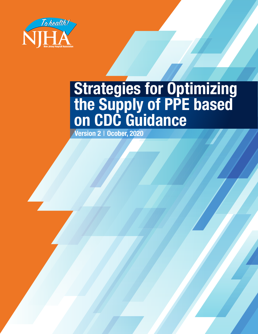

# **Strategies for Optimizing the Supply of PPE based on CDC Guidance**

**Version 2** | **Ocober, 2020**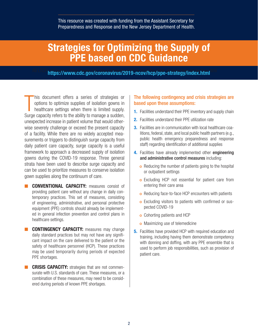This resource was created with funding from the Assistant Secretary for Preparedness and Response and the New Jersey Department of Health.

### **Strategies for Optimizing the Supply of PPE based on CDC Guidance**

<sup>All LTCF</sup>https://www.cdc.gov/coronavirus/2019-ncov/hcp/ppe-strategy/index.html<sup>\tml</sup>

his document offers a series of strategies or options to optimize supplies of isolation gowns in healthcare settings when there is limited supply.<br>Surge capacity refers to the ability to manage a sudden, his document offers a series of strategies or options to optimize supplies of isolation gowns in healthcare settings when there is limited supply. unexpected increase in patient volume that would otherwise severely challenge or exceed the present capacity of a facility. While there are no widely accepted measurements or triggers to distinguish surge capacity from daily patient care capacity, surge capacity is a useful framework to approach a decreased supply of isolation gowns during the COVID-19 response. Three general strata have been used to describe surge capacity and can be used to prioritize measures to conserve isolation gown supplies along the continuum of care.

- **CONVENTIONAL CAPACITY:** measures consist of providing patient care without any change in daily contemporary practices. This set of measures, consisting of engineering, administrative, and personal protective equipment (PPE) controls should already be implemented in general infection prevention and control plans in healthcare settings.
- **E CONTINGENCY CAPACITY:** measures may change daily standard practices but may not have any significant impact on the care delivered to the patient or the safety of healthcare personnel (HCP). These practices may be used temporarily during periods of expected PPE shortages.
- **CRISIS CAPACITY:** strategies that are not commensurate with U.S. standards of care. These measures, or a combination of these measures, may need to be considered during periods of known PPE shortages.

#### The following contingency and crisis strategies are based upon these assumptions:

- **1.** Facilities understand their PPE inventory and supply chain
- **2.** Facilities understand their PPE utilization rate
- **3.** Facilities are in communication with local healthcare coalitions, federal, state, and local public health partners (e.g., public health emergency preparedness and response staff) regarding identification of additional supplies
- **4.** Facilities have already implemented other engineering and administrative control measures including:
	- **o** Reducing the number of patients going to the hospital or outpatient settings
	- o Excluding HCP not essential for patient care from entering their care area
	- o Reducing face-to-face HCP encounters with patients
	- <sup>|</sup> Excluding visitors to patients with confirmed or suspected COVID-19
	- <sup>|</sup> Cohorting patients and HCP
	- **o** Maximizing use of telemedicine
- **5.** Facilities have provided HCP with required education and training, including having them demonstrate competency with donning and doffing, with any PPE ensemble that is used to perform job responsibilities, such as provision of patient care.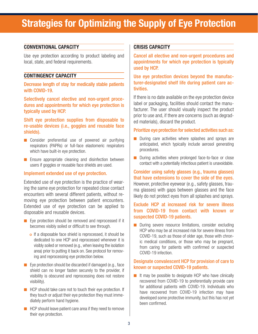# **Strategies for Optimizing the Supply of Eye Protection**

#### **CONVENTIONAL CAPACITY**

Use eye protection according to product labeling and local, state, and federal requirements.

#### **CONTINGENCY CAPACITY**

Decrease length of stay for medically stable patients with COVID-19.

Selectively cancel elective and non-urgent procedures and appointments for which eye protection is typically used by HCP.

Shift eye protection supplies from disposable to re-usable devices (i.e., goggles and reusable face shields).

- Consider preferential use of powered air purifying respirators (PAPRs) or full-face elastomeric respirators which have built-in eye protection.
- Ensure appropriate cleaning and disinfection between users if goggles or reusable face shields are used.

#### Implement extended use of eye protection.

Extended use of eye protection is the practice of wearing the same eye protection for repeated close contact encounters with several different patients, without removing eye protection between patient encounters. Extended use of eye protection can be applied to disposable and reusable devices.

- Eye protection should be removed and reprocessed if it becomes visibly soiled or difficult to see through.
	- o If a disposable face shield is reprocessed, it should be dedicated to one HCP and reprocessed whenever it is visibly soiled or removed (e.g., when leaving the isolation area) prior to putting it back on. See protocol for removing and reprocessing eye protection below.
- Eye protection should be discarded if damaged (e.g., face shield can no longer fasten securely to the provider, if visibility is obscured and reprocessing does not restore visibility).
- HCP should take care not to touch their eye protection. If they touch or adjust their eye protection they must immediately perform hand hygiene.
- HCP should leave patient care area if they need to remove their eye protection.

#### **CRISIS CAPACITY**

Cancel all elective and non-urgent procedures and appointments for which eye protection is typically used by HCP.

Use eye protection devices beyond the manufacturer-designated shelf life during patient care activities.

If there is no date available on the eye protection device label or packaging, facilities should contact the manufacturer. The user should visually inspect the product prior to use and, if there are concerns (such as degraded materials), discard the product.

#### Prioritize eye protection for selected activities such as:

- During care activities where splashes and sprays are anticipated, which typically include aerosol generating procedures.
- During activities where prolonged face-to-face or close contact with a potentially infectious patient is unavoidable.

Consider using safety glasses (e.g., trauma glasses) that have extensions to cover the side of the eyes. However, protective eyewear (e.g., safety glasses, trauma glasses) with gaps between glasses and the face likely do not protect eyes from all splashes and sprays.

#### Exclude HCP at increased risk for severe illness from COVID-19 from contact with known or suspected COVID-19 patients.

■ During severe resource limitations, consider excluding HCP who may be at increased risk for severe illness from COVID-19, such as those of older age, those with chronic medical conditions, or those who may be pregnant, from caring for patients with confirmed or suspected COVID-19 infection.

#### Designate convalescent HCP for provision of care to known or suspected COVID-19 patients.

■ It may be possible to designate HCP who have clinically recovered from COVID-19 to preferentially provide care for additional patients with COVID-19. Individuals who have recovered from COVID-19 infection may have developed some protective immunity, but this has not yet been confirmed.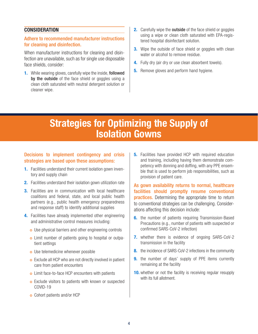#### **CONSIDERATION**

#### Adhere to recommended manufacturer instructions for cleaning and disinfection.

When manufacturer instructions for cleaning and disinfection are unavailable, such as for single use disposable face shields, consider:

- **1.** While wearing gloves, carefully wipe the inside, followed by the outside of the face shield or goggles using a clean cloth saturated with neutral detergent solution or cleaner wipe.
- **2.** Carefully wipe the **outside** of the face shield or goggles using a wipe or clean cloth saturated with EPA-registered hospital disinfectant solution.
- **3.** Wipe the outside of face shield or goggles with clean water or alcohol to remove residue.
- **4.** Fully dry (air dry or use clean absorbent towels).
- **5.** Remove gloves and perform hand hygiene.

### **Strategies for Optimizing the Supply of Isolation Gowns**

#### Decisions to implement contingency and crisis strategies are based upon these assumptions:

- **1.** Facilities understand their current isolation gown inventory and supply chain
- **2.** Facilities understand their isolation gown utilization rate
- **3.** Facilities are in communication with local healthcare coalitions and federal, state, and local public health partners (e.g., public health emergency preparedness and response staff) to identify additional supplies
- **4.** Facilities have already implemented other engineering and administrative control measures including:
	- o Use physical barriers and other engineering controls
	- <sup>|</sup> Limit number of patients going to hospital or outpatient settings
	- o Use telemedicine whenever possible
	- o Exclude all HCP who are not directly involved in patient care from patient encounters
	- o Limit face-to-face HCP encounters with patients
	- **o** Exclude visitors to patients with known or suspected COVID-19
	- <sup>|</sup> Cohort patients and/or HCP

**5.** Facilities have provided HCP with required education and training, including having them demonstrate competency with donning and doffing, with any PPE ensemble that is used to perform job responsibilities, such as provision of patient care.

As gown availability returns to normal, healthcare facilities should promptly resume conventional **practices.** Determining the appropriate time to return to conventional strategies can be challenging. Considerations affecting this decision include:

- **6.** the number of patients requiring Transmission-Based Precautions (e.g., number of patients with suspected or confirmed SARS-CoV-2 infection)
- **7.** whether there is evidence of ongoing SARS-CoV-2 transmission in the facility
- **8.** the incidence of SARS-CoV-2 infections in the community
- **9.** the number of days' supply of PPE items currently remaining at the facility
- **10.** whether or not the facility is receiving regular resupply with its full allotment.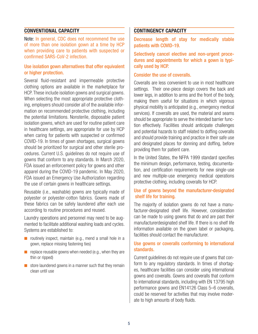#### **CONVENTIONAL CAPACITY**

Note: In general, CDC does not recommend the use of more than one isolation gown at a time by HCP when providing care to patients with suspected or confirmed SARS-CoV-2 infection.

#### Use isolation gown alternatives that offer equivalent or higher protection.

Several fluid-resistant and impermeable protective clothing options are available in the marketplace for HCP. These include isolation gowns and surgical gowns. When selecting the most appropriate protective clothing, employers should consider all of the available information on recommended protective clothing, including the potential limitations. Nonsterile, disposable patient isolation gowns, which are used for routine patient care in healthcare settings, are appropriate for use by HCP when caring for patients with suspected or confirmed COVID-19. In times of gown shortages, surgical gowns should be prioritized for surgical and other sterile procedures. Current U.S. guidelines do not require use of gowns that conform to any standards. In March 2020, FDA issued an enforcement policy for gowns and other apparel during the COVID-19 pandemic. In May 2020, FDA issued an Emergency Use Authorization regarding the use of certain gowns in healthcare settings.

Reusable (i.e., washable) gowns are typically made of polyester or polyester-cotton fabrics. Gowns made of these fabrics can be safely laundered after each use according to routine procedures and reused.

Laundry operations and personnel may need to be augmented to facilitate additional washing loads and cycles. Systems are established to:

- routinely inspect, maintain (e.g., mend a small hole in a gown, replace missing fastening ties)
- $\blacksquare$  replace reusable gowns when needed (e.g., when they are thin or ripped)
- $\blacksquare$  store laundered gowns in a manner such that they remain clean until use

#### **CONTINGENCY CAPACITY**

Decrease length of stay for medically stable patients with COVID-19.

Selectively cancel elective and non-urgent procedures and appointments for which a gown is typically used by HCP.

#### Consider the use of coveralls.

Coveralls are less convenient to use in most healthcare settings. Their one-piece design covers the back and lower legs, in addition to arms and the front of the body, making them useful for situations in which vigorous physical mobility is anticipated (e.g., emergency medical services). If coveralls are used, the material and seams should be appropriate to serve the intended barrier function effectively. Facilities should anticipate challenges and potential hazards to staff related to doffing coveralls and should provide training and practice in their safe use and designated places for donning and doffing, before providing them for patient care.

In the United States, the NFPA 1999 standard specifies the minimum design, performance, testing, documentation, and certification requirements for new single-use and new multiple-use emergency medical operations protective clothing, including coveralls for HCP.

#### Use of gowns beyond the manufacturer-designated shelf life for training.

The majority of isolation gowns do not have a manufacturer-designated shelf life. However, consideration can be made to using gowns that do and are past their manufacturerdesignated shelf life. If there is no shelf life information available on the gown label or packaging, facilities should contact the manufacturer.

#### Use gowns or coveralls conforming to international standards.

Current guidelines do not require use of gowns that conform to any regulatory standards. In times of shortages, healthcare facilities can consider using international gowns and coveralls. Gowns and coveralls that conform to international standards, including with EN 13795 high performance gowns and EN14126 Class 5–6 coveralls, could be reserved for activities that may involve moderate to high amounts of body fluids.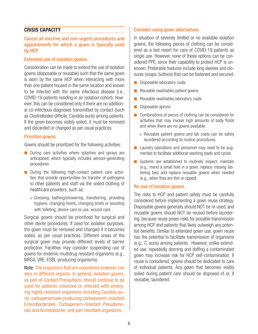#### **CRISIS CAPACITY**

#### Cancel all elective and non-urgent procedures and appointments for which a gown is typically used by HCP.

#### Extended use of isolation gowns.

Consideration can be made to extend the use of isolation gowns (disposable or reusable) such that the same gown is worn by the same HCP when interacting with more than one patient housed in the same location and known to be infected with the same infectious disease (i.e., COVID-19 patients residing in an isolation cohort). However, this can be considered only if there are no additional co-infectious diagnoses transmitted by contact (such as Clostridioides difficile, Candida auris) among patients. If the gown becomes visibly soiled, it must be removed and discarded or changed as per usual practices.

#### Prioritize gowns.

Gowns should be prioritized for the following activities:

- During care activities where splashes and sprays are anticipated, which typically includes aerosol-generating procedures
- During the following high-contact patient care activities that provide opportunities for transfer of pathogens to other patients and staff via the soiled clothing of healthcare providers, such as:
	- <sup>|</sup> Dressing, bathing/showering, transferring, providing hygiene, changing linens, changing briefs or assisting with toileting, device care or use, wound care

Surgical gowns should be prioritized for surgical and other sterile procedures. If used for isolation purposes, the gown must be removed and changed if it becomes soiled, as per usual practices. Different areas of the surgical gown may provide different levels of barrier protection. Facilities may consider suspending use of gowns for endemic multidrug resistant organisms (e.g., MRSA, VRE, ESBL-producing organisms).

Note: The organisms that are considered endemic can vary in different regions. In general, isolation gowns, as part of Contact Precautions, should continue to be used for patients colonized or infected with emerging highly-resistant organisms including Candida auris, carbapenemase-producing carbapenem-resistant Enterobacterales, Carbapenem-resistant Pseudomonas and Acinetobacter, and pan-resistant organisms.

#### Consider using gown alternatives.

In situation of severely limited or no available isolation gowns, the following pieces of clothing can be considered as a last resort for care of COVID-19 patients as single use. However, none of these options can be considered PPE, since their capability to protect HCP is unknown. Preferable features include long sleeves and closures (snaps, buttons) that can be fastened and secured.

- Disposable laboratory coats
- Reusable (washable) patient gowns
- Reusable (washable) laboratory coats
- Disposable aprons
- Combinations of pieces of clothing can be considered for activities that may involve high amounts of body fluids and when there are no gowns available:
	- o Reusable patient gowns and lab coats can be safely laundered according to routine procedures.
- Laundry operations and personnel may need to be augmented to facilitate additional washing loads and cycles
- Systems are established to routinely inspect, maintain (e.g., mend a small hole in a gown, replace missing fastening ties) and replace reusable gowns when needed (e.g., when they are thin or ripped)

#### Re-use of isolation gowns.

The risks to HCP and patient safety must be carefully considered before implementing a gown reuse strategy. Disposable gowns generally should NOT be re-used, and reusable gowns should NOT be reused before laundering, because reuse poses risks for possible transmission among HCP and patients that likely outweigh any potential benefits. Similar to extended gown use, gown reuse has the potential to facilitate transmission of organisms (e.g., C. auris) among patients. However, unlike extended use, repeatedly donning and doffing a contaminated gown may increase risk for HCP self-contamination. If reuse is considered, gowns should be dedicated to care of individual patients. Any gown that becomes visibly soiled during patient care should be disposed of or, if reusable, laundered.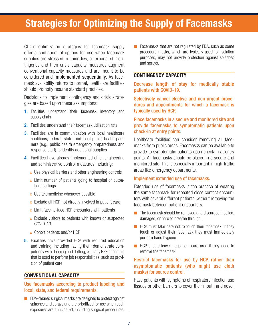# **Strategies for Optimizing the Supply of Facemasks**

CDC's optimization strategies for facemask supply offer a continuum of options for use when facemask supplies are stressed, running low, or exhausted. Contingency and then crisis capacity measures augment conventional capacity measures and are meant to be considered and implemented sequentially. As facemask availability returns to normal, healthcare facilities should promptly resume standard practices.

Decisions to implement contingency and crisis strategies are based upon these assumptions:

- **1.** Facilities understand their facemask inventory and supply chain
- **2.** Facilities understand their facemask utilization rate
- **3.** Facilities are in communication with local healthcare coalitions, federal, state, and local public health partners (e.g., public health emergency preparedness and response staff) to identify additional supplies
- **4.** Facilities have already implemented other engineering and administrative control measures including:
	- o Use physical barriers and other engineering controls
	- <sup>|</sup> Limit number of patients going to hospital or outpatient settings
	- o Use telemedicine whenever possible
	- o Exclude all HCP not directly involved in patient care
	- **o** Limit face-to-face HCP encounters with patients
	- **o** Exclude visitors to patients with known or suspected COVID-19
	- <sup>|</sup> Cohort patients and/or HCP
- **5.** Facilities have provided HCP with required education and training, including having them demonstrate competency with donning and doffing, with any PPE ensemble that is used to perform job responsibilities, such as provision of patient care.

#### **CONVENTIONAL CAPACITY**

#### Use facemasks according to product labeling and local, state, and federal requirements.

■ FDA-cleared surgical masks are designed to protect against splashes and sprays and are prioritized for use when such exposures are anticipated, including surgical procedures.

■ Facemasks that are not regulated by FDA, such as some procedure masks, which are typically used for isolation purposes, may not provide protection against splashes and sprays.

#### **CONTINGENCY CAPACITY**

Decrease length of stay for medically stable patients with COVID-19.

Selectively cancel elective and non-urgent procedures and appointments for which a facemask is typically used by HCP.

#### Place facemasks in a secure and monitored site and provide facemasks to symptomatic patients upon check-in at entry points.

Healthcare facilities can consider removing all facemasks from public areas. Facemasks can be available to provide to symptomatic patients upon check in at entry points. All facemasks should be placed in a secure and monitored site. This is especially important in high-traffic areas like emergency departments.

#### Implement extended use of facemasks.

Extended use of facemasks is the practice of wearing the same facemask for repeated close contact encounters with several different patients, without removing the facemask between patient encounters.

- The facemask should be removed and discarded if soiled, damaged, or hard to breathe through.
- HCP must take care not to touch their facemask. If they touch or adjust their facemask they must immediately perform hand hygiene.
- HCP should leave the patient care area if they need to remove the facemask.

#### Restrict facemasks for use by HCP, rather than asymptomatic patients (who might use cloth masks) for source control.

Have patients with symptoms of respiratory infection use tissues or other barriers to cover their mouth and nose.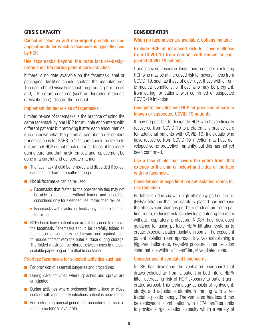#### **CRISIS CAPACITY**

#### Cancel all elective and non-urgent procedures and appointments for which a facemask is typically used by HCP.

#### Use facemasks beyond the manufacturer-designated shelf life during patient care activities.

If there is no date available on the facemask label or packaging, facilities should contact the manufacturer. The user should visually inspect the product prior to use and, if there are concerns (such as degraded materials or visible tears), discard the product.

#### Implement limited re-use of facemasks.

Limited re-use of facemasks is the practice of using the same facemask by one HCP for multiple encounters with different patients but removing it after each encounter. As it is unknown what the potential contribution of contact transmission is for SARS-CoV-2, care should be taken to ensure that HCP do not touch outer surfaces of the mask during care, and that mask removal and replacement be done in a careful and deliberate manner.

- The facemask should be removed and discarded if soiled, damaged, or hard to breathe through.
- Not all facemasks can be re-used.
	- o Facemasks that fasten to the provider via ties may not be able to be undone without tearing and should be considered only for extended use, rather than re-use.
	- o Facemasks with elastic ear hooks may be more suitable for re-use.
- HCP should leave patient care area if they need to remove the facemask. Facemasks should be carefully folded so that the outer surface is held inward and against itself to reduce contact with the outer surface during storage. The folded mask can be stored between uses in a clean sealable paper bag or breathable container.

#### Prioritize facemasks for selected activities such as:

- For provision of essential surgeries and procedures
- During care activities where splashes and sprays are anticipated
- During activities where prolonged face-to-face or close contact with a potentially infectious patient is unavoidable
- For performing aerosol generating procedures, if respirators are no longer available.

#### **CONSIDERATION**

When no facemasks are available, options Include:

Exclude HCP at increased risk for severe illness from COVID-19 from contact with known or suspected COVID-19 patients.

During severe resource limitations, consider excluding HCP who may be at increased risk for severe illness from COVID-19, such as those of older age, those with chronic medical conditions, or those who may be pregnant, from caring for patients with confirmed or suspected COVID-19 infection.

#### Designate convalescent HCP for provision of care to known or suspected COVID-19 patients.

It may be possible to designate HCP who have clinically recovered from COVID-19 to preferentially provide care for additional patients with COVID-19. Individuals who have recovered from COVID-19 infection may have developed some protective immunity, but this has not yet been confirmed.

#### Use a face shield that covers the entire front (that extends to the chin or below) and sides of the face with no facemask.

#### Consider use of expedient patient isolation rooms for risk reduction.

Portable fan devices with high-efficiency particulate air (HEPA) filtration that are carefully placed can increase the effective air changes per hour of clean air to the patient room, reducing risk to individuals entering the room without respiratory protection. NIOSH has developed guidance for using portable HEPA filtration systems to create expedient patient isolation rooms. The expedient patient isolation room approach involves establishing a high-ventilation-rate, negative pressure, inner isolation zone that sits within a "clean" larger ventilated zone.

#### Consider use of ventilated headboards.

NIOSH has developed the ventilated headboard that draws exhaled air from a patient in bed into a HEPA filter, decreasing risk of HCP exposure to patient-generated aerosol. This technology consists of lightweight, sturdy, and adjustable aluminum framing with a retractable plastic canopy. The ventilated headboard can be deployed in combination with HEPA fan/filter units to provide surge isolation capacity within a variety of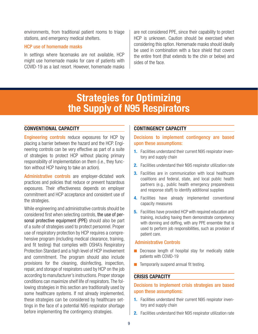environments, from traditional patient rooms to triage stations, and emergency medical shelters.

#### HCP use of homemade masks

In settings where facemasks are not available, HCP might use homemade masks for care of patients with COVID-19 as a last resort. However, homemade masks are not considered PPE, since their capability to protect HCP is unknown. Caution should be exercised when considering this option. Homemade masks should ideally be used in combination with a face shield that covers the entire front (that extends to the chin or below) and sides of the face.

# **Strategies for Optimizing the Supply of N95 Respirators**

#### **CONVENTIONAL CAPACITY**

Engineering controls reduce exposures for HCP by placing a barrier between the hazard and the HCP. Engineering controls can be very effective as part of a suite of strategies to protect HCP without placing primary responsibility of implementation on them (i.e., they function without HCP having to take an action).

Administrative controls are employer-dictated work practices and policies that reduce or prevent hazardous exposures. Their effectiveness depends on employer commitment and HCP acceptance and consistent use of the strategies.

While engineering and administrative controls should be considered first when selecting controls, the use of personal protective equipment (PPE) should also be part of a suite of strategies used to protect personnel. Proper use of respiratory protection by HCP requires a comprehensive program (including medical clearance, training, and fit testing) that complies with OSHA's Respiratory Protection Standard and a high level of HCP involvement and commitment. The program should also include provisions for the cleaning, disinfecting, inspection, repair, and storage of respirators used by HCP on the job according to manufacturer's instructions. Proper storage conditions can maximize shelf life of respirators. The following strategies in this section are traditionally used by some healthcare systems. If not already implemented, these strategies can be considered by healthcare settings in the face of a potential N95 respirator shortage before implementing the contingency strategies.

#### **CONTINGENCY CAPACITY**

Decisions to implement contingency are based upon these assumptions:

- **1.** Facilities understand their current N95 respirator inventory and supply chain
- **2.** Facilities understand their N95 respirator utilization rate
- **3.** Facilities are in communication with local healthcare coalitions and federal, state, and local public health partners (e.g., public health emergency preparedness and response staff) to identify additional supplies
- **4.** Facilities have already implemented conventional capacity measures
- **5.** Facilities have provided HCP with required education and training, including having them demonstrate competency with donning and doffing, with any PPE ensemble that is used to perform job responsibilities, such as provision of patient care.

#### Administrative Controls

- Decrease length of hospital stay for medically stable patients with COVID-19
- Temporarily suspend annual fit testing.

#### **CRISIS CAPACITY**

#### Decisions to implement crisis strategies are based upon these assumptions:

- **1.** Facilities understand their current N95 respirator inventory and supply chain
- **2.** Facilities understand their N95 respirator utilization rate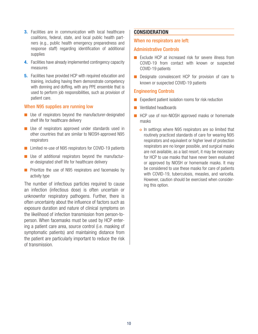- **3.** Facilities are in communication with local healthcare coalitions, federal, state, and local public health partners (e.g., public health emergency preparedness and response staff) regarding identification of additional supplies
- **4.** Facilities have already implemented contingency capacity measures
- **5.** Facilities have provided HCP with required education and training, including having them demonstrate competency with donning and doffing, with any PPE ensemble that is used to perform job responsibilities, such as provision of patient care.

#### When N95 supplies are running low

- Use of respirators beyond the manufacturer-designated shelf life for healthcare delivery
- Use of respirators approved under standards used in other countries that are similar to NIOSH-approved N95 respirators
- Limited re-use of N95 respirators for COVID-19 patients
- Use of additional respirators beyond the manufacturer-designated shelf life for healthcare delivery
- Prioritize the use of N95 respirators and facemasks by activity type

The number of infectious particles required to cause an infection (infectious dose) is often uncertain or unknownfor respiratory pathogens. Further, there is often uncertainty about the influence of factors such as exposure duration and nature of clinical symptoms on the likelihood of infection transmission from person-toperson. When facemasks must be used by HCP entering a patient care area, source control (i.e. masking of symptomatic patients) and maintaining distance from the patient are particularly important to reduce the risk of transmission.

#### **CONSIDERATION**

#### When no respirators are left:

#### Administrative Controls

- Exclude HCP at increased risk for severe illness from COVID-19 from contact with known or suspected COVID-19 patients
- Designate convalescent HCP for provision of care to known or suspected COVID-19 patients

#### Engineering Controls

- Expedient patient isolation rooms for risk reduction
- Ventilated headboards
- HCP use of non-NIOSH approved masks or homemade masks
	- o In settings where N95 respirators are so limited that routinely practiced standards of care for wearing N95 respirators and equivalent or higher level of protection respirators are no longer possible, and surgical masks are not available, as a last resort, it may be necessary for HCP to use masks that have never been evaluated or approved by NIOSH or homemade masks. It may be considered to use these masks for care of patients with COVID-19, tuberculosis, measles, and varicella. However, caution should be exercised when considering this option.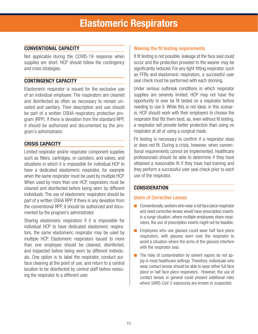#### **CONVENTIONAL CAPACITY**

Not applicable during the COVID-19 response when supplies are short. HCP should follow the contingency and crisis strategies.

#### **CONTINGENCY CAPACITY**

Elastomeric respirator is issued for the exclusive use of an individual employee. The respirators are cleaned and disinfected as often as necessary to remain unsoiled and sanitary. Their description and use should be part of a written OSHA respiratory protection program (RPP). If there is deviation from the standard RPP, it should be authorized and documented by the program's administrator.

#### **CRISIS CAPACITY**

Limited respirator and/or respirator component supplies such as filters, cartridges, or canisters, and valves, and situations in which it is impossible for individual HCP to have a dedicated elastomeric respirator, for example when the same respirator must be used by multiple HCP. When used by more than one HCP, respirators must be cleaned and disinfected before being worn by different individuals. The use of elastomeric respirators should be part of a written OSHA RPP. If there is any deviation from the conventional RPP, it should be authorized and documented by the program's administrator.

Sharing elastomeric respirators if it is impossible for individual HCP to have dedicated elastomeric respirators, the same elastomeric respirator may be used by multiple HCP. Elastomeric respirators issued to more than one employee should be cleaned, disinfected, and inspected before being worn by different individuals. One option is to label the respirator, conduct surface cleaning at the point of use, and return to a central location to be disinfected by central staff before reissuing the respirator to a different user.

#### Waiving the fit testing requirements

If fit testing is not possible, leakage at the face seal could occur and the protection provided to the wearer may be significantly reduced. For any tight-fitting respirator, such as FFRs and elastomeric respirators, a successful user seal check must be performed with each donning.

Under serious outbreak conditions in which respirator supplies are severely limited, HCP may not have the opportunity to ever be fit tested on a respirator before needing to use it. While this is not ideal, in this scenario, HCP should work with their employers to choose the respirator that fits them best, as, even without fit testing, a respirator will provide better protection than using no respirator at all or using a surgical mask.

Fit testing is necessary to confirm if a respirator does or does not fit. During a crisis, however, when conventional requirements cannot be implemented, healthcare professionals should be able to determine if they have obtained a reasonable fit if they have had training and they perform a successful user seal check prior to each use of the respirator.

#### **CONSIDERATION**

#### Users of Corrective Lenses

- Conventionally, workers who wear a full face piece respirator and need corrective lenses would have prescription inserts. In a surge situation, where multiple employees share respirators, the use of prescription inserts might not be feasible.
- Employees who use glasses could wear half face piece respirators, with glasses worn over the respirator to avoid a situation where the arms of the glasses interfere with the respirator seal.
- The risks of contamination by solvent vapors do not apply in most healthcare settings. Therefore, individuals who wear contact lenses should be able to wear either full face piece or half face piece respirators. However, the use of contact lenses in general could present additional risks where SARS-CoV-2 exposures are known or suspected.